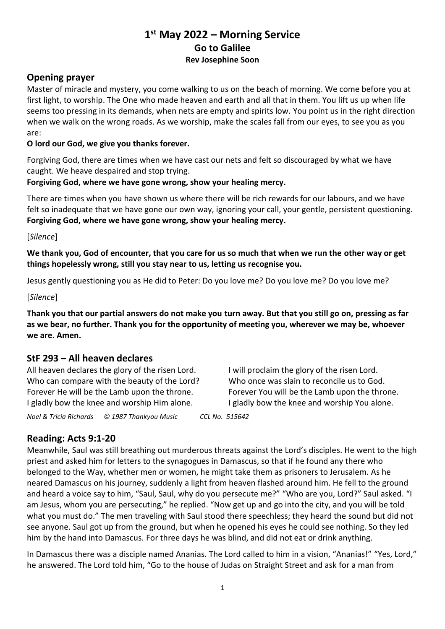# **1 st May 2022 – Morning Service Go to Galilee Rev Josephine Soon**

# **Opening prayer**

Master of miracle and mystery, you come walking to us on the beach of morning. We come before you at first light, to worship. The One who made heaven and earth and all that in them. You lift us up when life seems too pressing in its demands, when nets are empty and spirits low. You point us in the right direction when we walk on the wrong roads. As we worship, make the scales fall from our eyes, to see you as you are:

#### **O lord our God, we give you thanks forever.**

Forgiving God, there are times when we have cast our nets and felt so discouraged by what we have caught. We heave despaired and stop trying.

#### **Forgiving God, where we have gone wrong, show your healing mercy.**

There are times when you have shown us where there will be rich rewards for our labours, and we have felt so inadequate that we have gone our own way, ignoring your call, your gentle, persistent questioning. **Forgiving God, where we have gone wrong, show your healing mercy.**

#### [*Silence*]

**We thank you, God of encounter, that you care for us so much that when we run the other way or get things hopelessly wrong, still you stay near to us, letting us recognise you.**

Jesus gently questioning you as He did to Peter: Do you love me? Do you love me? Do you love me?

#### [*Silence*]

**Thank you that our partial answers do not make you turn away. But that you still go on, pressing as far as we bear, no further. Thank you for the opportunity of meeting you, wherever we may be, whoever we are. Amen.**

#### **StF 293 – All heaven declares**

All heaven declares the glory of the risen Lord. Who can compare with the beauty of the Lord? Forever He will be the Lamb upon the throne. I gladly bow the knee and worship Him alone.

I will proclaim the glory of the risen Lord. Who once was slain to reconcile us to God. Forever You will be the Lamb upon the throne. I gladly bow the knee and worship You alone.

*Noel & Tricia Richards © 1987 Thankyou Music CCL No. 515642*

## **Reading: Acts 9:1-20**

Meanwhile, Saul was still breathing out murderous threats against the Lord's disciples. He went to the high priest and asked him for letters to the synagogues in Damascus, so that if he found any there who belonged to the Way, whether men or women, he might take them as prisoners to Jerusalem. As he neared Damascus on his journey, suddenly a light from heaven flashed around him. He fell to the ground and heard a voice say to him, "Saul, Saul, why do you persecute me?" "Who are you, Lord?" Saul asked. "I am Jesus, whom you are persecuting," he replied. "Now get up and go into the city, and you will be told what you must do." The men traveling with Saul stood there speechless; they heard the sound but did not see anyone. Saul got up from the ground, but when he opened his eyes he could see nothing. So they led him by the hand into Damascus. For three days he was blind, and did not eat or drink anything.

In Damascus there was a disciple named Ananias. The Lord called to him in a vision, "Ananias!" "Yes, Lord," he answered. The Lord told him, "Go to the house of Judas on Straight Street and ask for a man from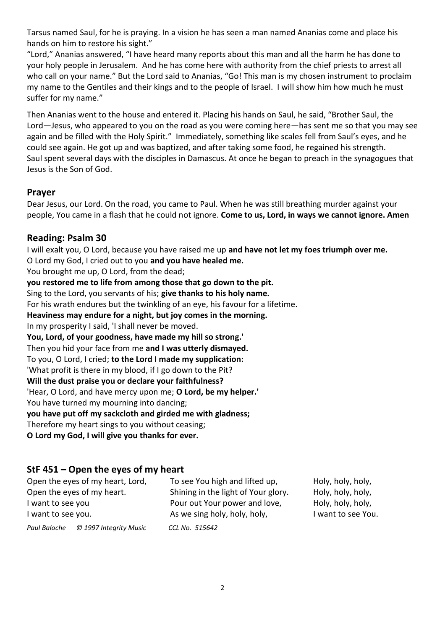Tarsus named Saul, for he is praying. In a vision he has seen a man named Ananias come and place his hands on him to restore his sight."

"Lord," Ananias answered, "I have heard many reports about this man and all the harm he has done to your holy people in Jerusalem. And he has come here with authority from the chief priests to arrest all who call on your name." But the Lord said to Ananias, "Go! This man is my chosen instrument to proclaim my name to the Gentiles and their kings and to the people of Israel. I will show him how much he must suffer for my name."

Then Ananias went to the house and entered it. Placing his hands on Saul, he said, "Brother Saul, the Lord—Jesus, who appeared to you on the road as you were coming here—has sent me so that you may see again and be filled with the Holy Spirit." Immediately, something like scales fell from Saul's eyes, and he could see again. He got up and was baptized, and after taking some food, he regained his strength. Saul spent several days with the disciples in Damascus. At once he began to preach in the synagogues that Jesus is the Son of God.

## **Prayer**

Dear Jesus, our Lord. On the road, you came to Paul. When he was still breathing murder against your people, You came in a flash that he could not ignore. **Come to us, Lord, in ways we cannot ignore. Amen**

### **Reading: Psalm 30**

I will exalt you, O Lord, because you have raised me up **and have not let my foes triumph over me.** O Lord my God, I cried out to you **and you have healed me.** You brought me up, O Lord, from the dead; **you restored me to life from among those that go down to the pit.** Sing to the Lord, you servants of his; **give thanks to his holy name.** For his wrath endures but the twinkling of an eye, his favour for a lifetime. **Heaviness may endure for a night, but joy comes in the morning.** In my prosperity I said, 'I shall never be moved. **You, Lord, of your goodness, have made my hill so strong.'** Then you hid your face from me **and I was utterly dismayed.** To you, O Lord, I cried; **to the Lord I made my supplication:** 'What profit is there in my blood, if I go down to the Pit? **Will the dust praise you or declare your faithfulness?** 'Hear, O Lord, and have mercy upon me; **O Lord, be my helper.'** You have turned my mourning into dancing; **you have put off my sackcloth and girded me with gladness;** Therefore my heart sings to you without ceasing; **O Lord my God, I will give you thanks for ever.**

## **StF 451 – Open the eyes of my heart**

| Open the eyes of my heart, Lord, |                        | To see You high and lifted up,      | Holy, holy, holy,  |
|----------------------------------|------------------------|-------------------------------------|--------------------|
| Open the eyes of my heart.       |                        | Shining in the light of Your glory. | Holy, holy, holy,  |
| I want to see you                |                        | Pour out Your power and love,       | Holy, holy, holy,  |
| I want to see you.               |                        | As we sing holy, holy, holy,        | I want to see You. |
| Paul Baloche                     | © 1997 Integrity Music | CCL No. 515642                      |                    |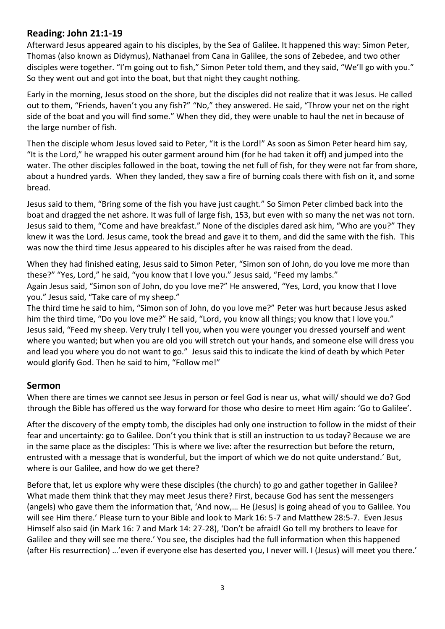### **Reading: John 21:1-19**

Afterward Jesus appeared again to his disciples, by the Sea of Galilee. It happened this way: Simon Peter, Thomas (also known as Didymus), Nathanael from Cana in Galilee, the sons of Zebedee, and two other disciples were together. "I'm going out to fish," Simon Peter told them, and they said, "We'll go with you." So they went out and got into the boat, but that night they caught nothing.

Early in the morning, Jesus stood on the shore, but the disciples did not realize that it was Jesus. He called out to them, "Friends, haven't you any fish?" "No," they answered. He said, "Throw your net on the right side of the boat and you will find some." When they did, they were unable to haul the net in because of the large number of fish.

Then the disciple whom Jesus loved said to Peter, "It is the Lord!" As soon as Simon Peter heard him say, "It is the Lord," he wrapped his outer garment around him (for he had taken it off) and jumped into the water. The other disciples followed in the boat, towing the net full of fish, for they were not far from shore, about a hundred yards. When they landed, they saw a fire of burning coals there with fish on it, and some bread.

Jesus said to them, "Bring some of the fish you have just caught." So Simon Peter climbed back into the boat and dragged the net ashore. It was full of large fish, 153, but even with so many the net was not torn. Jesus said to them, "Come and have breakfast." None of the disciples dared ask him, "Who are you?" They knew it was the Lord. Jesus came, took the bread and gave it to them, and did the same with the fish. This was now the third time Jesus appeared to his disciples after he was raised from the dead.

When they had finished eating, Jesus said to Simon Peter, "Simon son of John, do you love me more than these?" "Yes, Lord," he said, "you know that I love you." Jesus said, "Feed my lambs." Again Jesus said, "Simon son of John, do you love me?" He answered, "Yes, Lord, you know that I love you." Jesus said, "Take care of my sheep."

The third time he said to him, "Simon son of John, do you love me?" Peter was hurt because Jesus asked him the third time, "Do you love me?" He said, "Lord, you know all things; you know that I love you." Jesus said, "Feed my sheep. Very truly I tell you, when you were younger you dressed yourself and went where you wanted; but when you are old you will stretch out your hands, and someone else will dress you and lead you where you do not want to go." Jesus said this to indicate the kind of death by which Peter would glorify God. Then he said to him, "Follow me!"

## **Sermon**

When there are times we cannot see Jesus in person or feel God is near us, what will/ should we do? God through the Bible has offered us the way forward for those who desire to meet Him again: 'Go to Galilee'.

After the discovery of the empty tomb, the disciples had only one instruction to follow in the midst of their fear and uncertainty: go to Galilee. Don't you think that is still an instruction to us today? Because we are in the same place as the disciples: 'This is where we live: after the resurrection but before the return, entrusted with a message that is wonderful, but the import of which we do not quite understand.' But, where is our Galilee, and how do we get there?

Before that, let us explore why were these disciples (the church) to go and gather together in Galilee? What made them think that they may meet Jesus there? First, because God has sent the messengers (angels) who gave them the information that, 'And now,… He (Jesus) is going ahead of you to Galilee. You will see Him there.' Please turn to your Bible and look to Mark 16: 5-7 and Matthew 28:5-7. Even Jesus Himself also said (in Mark 16: 7 and Mark 14: 27-28), 'Don't be afraid! Go tell my brothers to leave for Galilee and they will see me there.' You see, the disciples had the full information when this happened (after His resurrection) …'even if everyone else has deserted you, I never will. I (Jesus) will meet you there.'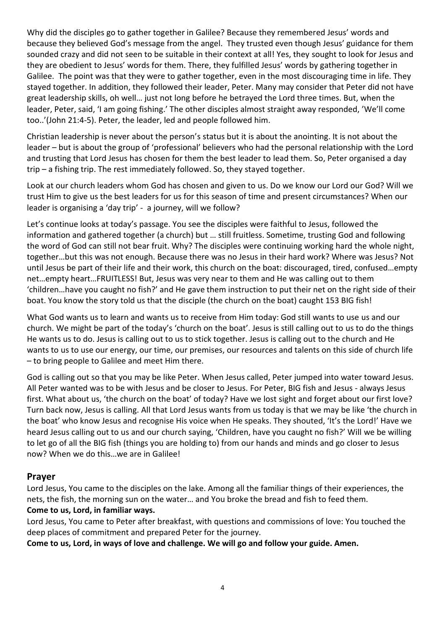Why did the disciples go to gather together in Galilee? Because they remembered Jesus' words and because they believed God's message from the angel. They trusted even though Jesus' guidance for them sounded crazy and did not seen to be suitable in their context at all! Yes, they sought to look for Jesus and they are obedient to Jesus' words for them. There, they fulfilled Jesus' words by gathering together in Galilee. The point was that they were to gather together, even in the most discouraging time in life. They stayed together. In addition, they followed their leader, Peter. Many may consider that Peter did not have great leadership skills, oh well… just not long before he betrayed the Lord three times. But, when the leader, Peter, said, 'I am going fishing.' The other disciples almost straight away responded, 'We'll come too..'(John 21:4-5). Peter, the leader, led and people followed him.

Christian leadership is never about the person's status but it is about the anointing. It is not about the leader – but is about the group of 'professional' believers who had the personal relationship with the Lord and trusting that Lord Jesus has chosen for them the best leader to lead them. So, Peter organised a day trip – a fishing trip. The rest immediately followed. So, they stayed together.

Look at our church leaders whom God has chosen and given to us. Do we know our Lord our God? Will we trust Him to give us the best leaders for us for this season of time and present circumstances? When our leader is organising a 'day trip' - a journey, will we follow?

Let's continue looks at today's passage. You see the disciples were faithful to Jesus, followed the information and gathered together (a church) but … still fruitless. Sometime, trusting God and following the word of God can still not bear fruit. Why? The disciples were continuing working hard the whole night, together…but this was not enough. Because there was no Jesus in their hard work? Where was Jesus? Not until Jesus be part of their life and their work, this church on the boat: discouraged, tired, confused…empty net…empty heart…FRUITLESS! But, Jesus was very near to them and He was calling out to them 'children…have you caught no fish?' and He gave them instruction to put their net on the right side of their boat. You know the story told us that the disciple (the church on the boat) caught 153 BIG fish!

What God wants us to learn and wants us to receive from Him today: God still wants to use us and our church. We might be part of the today's 'church on the boat'. Jesus is still calling out to us to do the things He wants us to do. Jesus is calling out to us to stick together. Jesus is calling out to the church and He wants to us to use our energy, our time, our premises, our resources and talents on this side of church life – to bring people to Galilee and meet Him there.

God is calling out so that you may be like Peter. When Jesus called, Peter jumped into water toward Jesus. All Peter wanted was to be with Jesus and be closer to Jesus. For Peter, BIG fish and Jesus - always Jesus first. What about us, 'the church on the boat' of today? Have we lost sight and forget about our first love? Turn back now, Jesus is calling. All that Lord Jesus wants from us today is that we may be like 'the church in the boat' who know Jesus and recognise His voice when He speaks. They shouted, 'It's the Lord!' Have we heard Jesus calling out to us and our church saying, 'Children, have you caught no fish?' Will we be willing to let go of all the BIG fish (things you are holding to) from our hands and minds and go closer to Jesus now? When we do this…we are in Galilee!

#### **Prayer**

Lord Jesus, You came to the disciples on the lake. Among all the familiar things of their experiences, the nets, the fish, the morning sun on the water… and You broke the bread and fish to feed them. **Come to us, Lord, in familiar ways.** 

Lord Jesus, You came to Peter after breakfast, with questions and commissions of love: You touched the deep places of commitment and prepared Peter for the journey.

**Come to us, Lord, in ways of love and challenge. We will go and follow your guide. Amen.**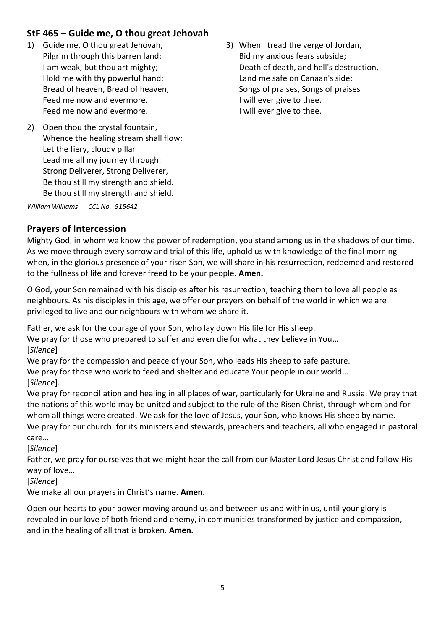# **StF 465 – Guide me, O thou great Jehovah**

- 1) Guide me, O thou great Jehovah, Pilgrim through this barren land; I am weak, but thou art mighty; Hold me with thy powerful hand: Bread of heaven, Bread of heaven, Feed me now and evermore. Feed me now and evermore.
- 2) Open thou the crystal fountain, Whence the healing stream shall flow; Let the fiery, cloudy pillar Lead me all my journey through: Strong Deliverer, Strong Deliverer, Be thou still my strength and shield. Be thou still my strength and shield.

*William Williams CCL No. 515642*

3) When I tread the verge of Jordan, Bid my anxious fears subside; Death of death, and hell's destruction, Land me safe on Canaan's side: Songs of praises, Songs of praises I will ever give to thee. I will ever give to thee.

### **Prayers of Intercession**

Mighty God, in whom we know the power of redemption, you stand among us in the shadows of our time. As we move through every sorrow and trial of this life, uphold us with knowledge of the final morning when, in the glorious presence of your risen Son, we will share in his resurrection, redeemed and restored to the fullness of life and forever freed to be your people. **Amen.**

O God, your Son remained with his disciples after his resurrection, teaching them to love all people as neighbours. As his disciples in this age, we offer our prayers on behalf of the world in which we are privileged to live and our neighbours with whom we share it.

Father, we ask for the courage of your Son, who lay down His life for His sheep.

We pray for those who prepared to suffer and even die for what they believe in You… [*Silence*]

We pray for the compassion and peace of your Son, who leads His sheep to safe pasture.

We pray for those who work to feed and shelter and educate Your people in our world… [*Silence*].

We pray for reconciliation and healing in all places of war, particularly for Ukraine and Russia. We pray that the nations of this world may be united and subject to the rule of the Risen Christ, through whom and for whom all things were created. We ask for the love of Jesus, your Son, who knows His sheep by name. We pray for our church: for its ministers and stewards, preachers and teachers, all who engaged in pastoral care…

[*Silence*]

Father, we pray for ourselves that we might hear the call from our Master Lord Jesus Christ and follow His way of love…

[*Silence*]

We make all our prayers in Christ's name. **Amen.**

Open our hearts to your power moving around us and between us and within us, until your glory is revealed in our love of both friend and enemy, in communities transformed by justice and compassion, and in the healing of all that is broken. **Amen.**